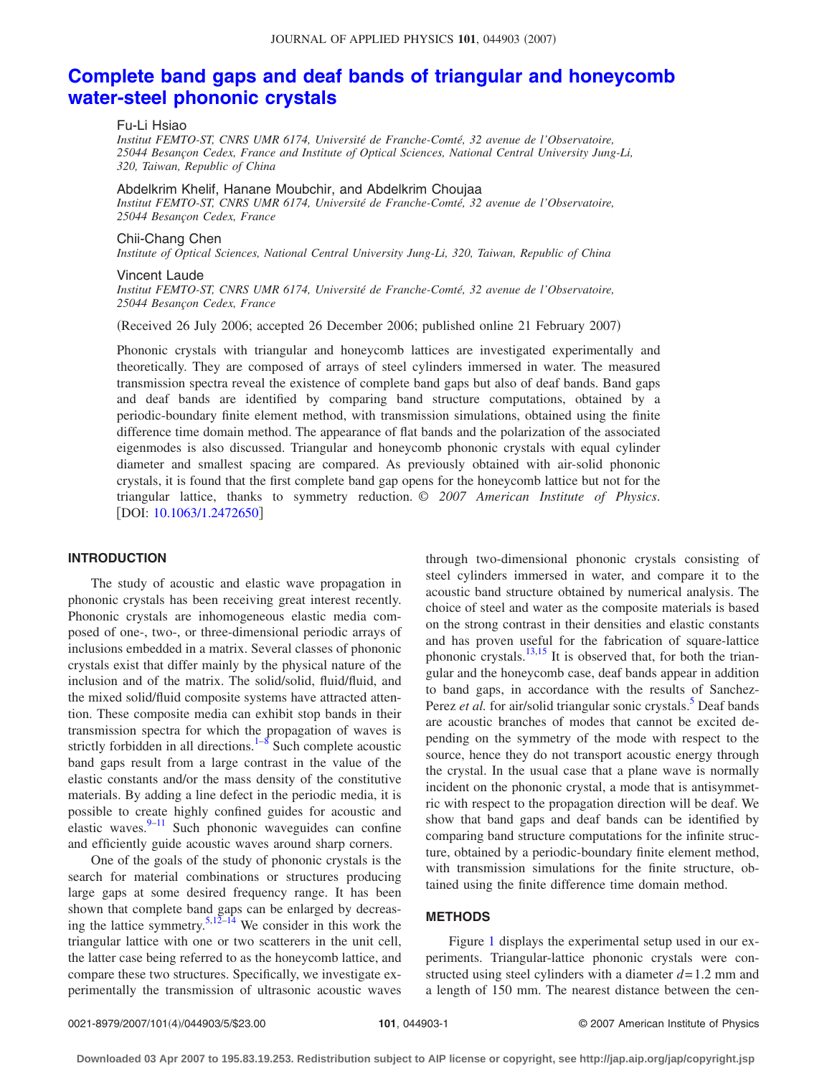# **[Complete band gaps and deaf bands of triangular and honeycomb](http://dx.doi.org/10.1063/1.2472650) [water-steel phononic crystals](http://dx.doi.org/10.1063/1.2472650)**

Fu-Li Hsiao

*Institut FEMTO-ST, CNRS UMR 6174, Université de Franche-Comté, 32 avenue de l'Observatoire, 25044 Besançon Cedex, France and Institute of Optical Sciences, National Central University Jung-Li, 320, Taiwan, Republic of China*

#### Abdelkrim Khelif, Hanane Moubchir, and Abdelkrim Choujaa

*Institut FEMTO-ST, CNRS UMR 6174, Université de Franche-Comté, 32 avenue de l'Observatoire, 25044 Besançon Cedex, France*

# Chii-Chang Chen

*Institute of Optical Sciences, National Central University Jung-Li, 320, Taiwan, Republic of China*

# Vincent Laude

*Institut FEMTO-ST, CNRS UMR 6174, Université de Franche-Comté, 32 avenue de l'Observatoire, 25044 Besançon Cedex, France*

(Received 26 July 2006; accepted 26 December 2006; published online 21 February 2007)

Phononic crystals with triangular and honeycomb lattices are investigated experimentally and theoretically. They are composed of arrays of steel cylinders immersed in water. The measured transmission spectra reveal the existence of complete band gaps but also of deaf bands. Band gaps and deaf bands are identified by comparing band structure computations, obtained by a periodic-boundary finite element method, with transmission simulations, obtained using the finite difference time domain method. The appearance of flat bands and the polarization of the associated eigenmodes is also discussed. Triangular and honeycomb phononic crystals with equal cylinder diameter and smallest spacing are compared. As previously obtained with air-solid phononic crystals, it is found that the first complete band gap opens for the honeycomb lattice but not for the triangular lattice, thanks to symmetry reduction. © *2007 American Institute of Physics*. [DOI: [10.1063/1.2472650](http://dx.doi.org/10.1063/1.2472650)]

#### **INTRODUCTION**

The study of acoustic and elastic wave propagation in phononic crystals has been receiving great interest recently. Phononic crystals are inhomogeneous elastic media composed of one-, two-, or three-dimensional periodic arrays of inclusions embedded in a matrix. Several classes of phononic crystals exist that differ mainly by the physical nature of the inclusion and of the matrix. The solid/solid, fluid/fluid, and the mixed solid/fluid composite systems have attracted attention. These composite media can exhibit stop bands in their transmission spectra for which the propagation of waves is strictly forbidden in all directions.<sup>1–[8](#page-4-1)</sup> Such complete acoustic band gaps result from a large contrast in the value of the elastic constants and/or the mass density of the constitutive materials. By adding a line defect in the periodic media, it is possible to create highly confined guides for acoustic and elastic waves.<sup>9-[11](#page-4-3)</sup> Such phononic waveguides can confine and efficiently guide acoustic waves around sharp corners.

One of the goals of the study of phononic crystals is the search for material combinations or structures producing large gaps at some desired frequency range. It has been shown that complete band gaps can be enlarged by decreas-ing the lattice symmetry.<sup>5[,12](#page-4-5)[–14](#page-4-6)</sup> We consider in this work the triangular lattice with one or two scatterers in the unit cell, the latter case being referred to as the honeycomb lattice, and compare these two structures. Specifically, we investigate experimentally the transmission of ultrasonic acoustic waves through two-dimensional phononic crystals consisting of steel cylinders immersed in water, and compare it to the acoustic band structure obtained by numerical analysis. The choice of steel and water as the composite materials is based on the strong contrast in their densities and elastic constants and has proven useful for the fabrication of square-lattice phononic crystals. $13,15$  $13,15$  It is observed that, for both the triangular and the honeycomb case, deaf bands appear in addition to band gaps, in accordance with the results of Sanchez-Perez *et al.* for air/solid triangular sonic crystals.<sup>5</sup> Deaf bands are acoustic branches of modes that cannot be excited depending on the symmetry of the mode with respect to the source, hence they do not transport acoustic energy through the crystal. In the usual case that a plane wave is normally incident on the phononic crystal, a mode that is antisymmetric with respect to the propagation direction will be deaf. We show that band gaps and deaf bands can be identified by comparing band structure computations for the infinite structure, obtained by a periodic-boundary finite element method, with transmission simulations for the finite structure, obtained using the finite difference time domain method.

## **METHODS**

Figure [1](#page-1-0) displays the experimental setup used in our experiments. Triangular-lattice phononic crystals were constructed using steel cylinders with a diameter *d*= 1.2 mm and a length of 150 mm. The nearest distance between the cen-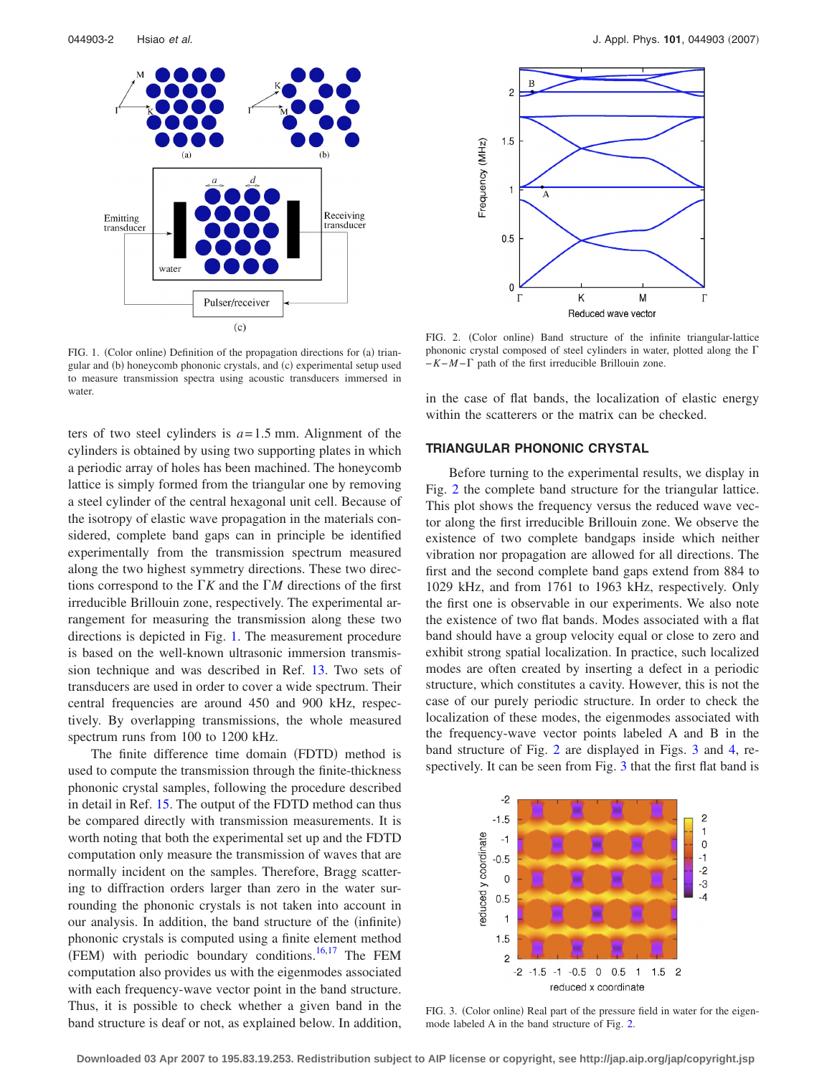<span id="page-1-0"></span>

FIG. 1. (Color online) Definition of the propagation directions for (a) triangular and (b) honeycomb phononic crystals, and (c) experimental setup used to measure transmission spectra using acoustic transducers immersed in water.

ters of two steel cylinders is *a*= 1.5 mm. Alignment of the cylinders is obtained by using two supporting plates in which a periodic array of holes has been machined. The honeycomb lattice is simply formed from the triangular one by removing a steel cylinder of the central hexagonal unit cell. Because of the isotropy of elastic wave propagation in the materials considered, complete band gaps can in principle be identified experimentally from the transmission spectrum measured along the two highest symmetry directions. These two directions correspond to the  $\Gamma K$  and the  $\Gamma M$  directions of the first irreducible Brillouin zone, respectively. The experimental arrangement for measuring the transmission along these two directions is depicted in Fig. [1.](#page-1-0) The measurement procedure is based on the well-known ultrasonic immersion transmission technique and was described in Ref. [13.](#page-4-7) Two sets of transducers are used in order to cover a wide spectrum. Their central frequencies are around 450 and 900 kHz, respectively. By overlapping transmissions, the whole measured spectrum runs from 100 to 1200 kHz.

The finite difference time domain (FDTD) method is used to compute the transmission through the finite-thickness phononic crystal samples, following the procedure described in detail in Ref. [15.](#page-4-8) The output of the FDTD method can thus be compared directly with transmission measurements. It is worth noting that both the experimental set up and the FDTD computation only measure the transmission of waves that are normally incident on the samples. Therefore, Bragg scattering to diffraction orders larger than zero in the water surrounding the phononic crystals is not taken into account in our analysis. In addition, the band structure of the (infinite) phononic crystals is computed using a finite element method (FEM) with periodic boundary conditions.<sup>16[,17](#page-4-10)</sup> The FEM computation also provides us with the eigenmodes associated with each frequency-wave vector point in the band structure. Thus, it is possible to check whether a given band in the band structure is deaf or not, as explained below. In addition,

<span id="page-1-1"></span>

FIG. 2. (Color online) Band structure of the infinite triangular-lattice phononic crystal composed of steel cylinders in water, plotted along the  $\Gamma$ −*K*−*M* − path of the first irreducible Brillouin zone.

in the case of flat bands, the localization of elastic energy within the scatterers or the matrix can be checked.

# **TRIANGULAR PHONONIC CRYSTAL**

Before turning to the experimental results, we display in Fig. [2](#page-1-1) the complete band structure for the triangular lattice. This plot shows the frequency versus the reduced wave vector along the first irreducible Brillouin zone. We observe the existence of two complete bandgaps inside which neither vibration nor propagation are allowed for all directions. The first and the second complete band gaps extend from 884 to 1029 kHz, and from 1761 to 1963 kHz, respectively. Only the first one is observable in our experiments. We also note the existence of two flat bands. Modes associated with a flat band should have a group velocity equal or close to zero and exhibit strong spatial localization. In practice, such localized modes are often created by inserting a defect in a periodic structure, which constitutes a cavity. However, this is not the case of our purely periodic structure. In order to check the localization of these modes, the eigenmodes associated with the frequency-wave vector points labeled A and B in the band structure of Fig. [2](#page-1-1) are displayed in Figs. [3](#page-1-2) and [4,](#page-2-0) respectively. It can be seen from Fig. [3](#page-1-2) that the first flat band is

<span id="page-1-2"></span>

FIG. 3. (Color online) Real part of the pressure field in water for the eigenmode labeled A in the band structure of Fig. [2.](#page-1-1)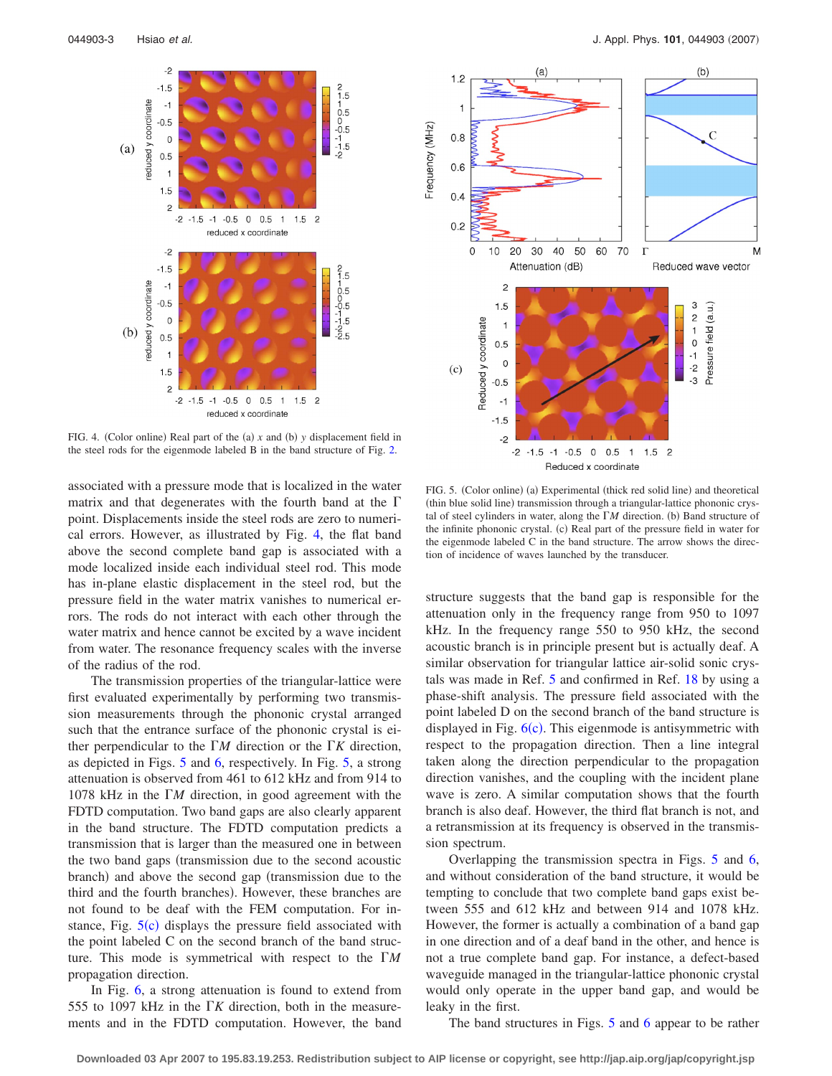<span id="page-2-0"></span>

FIG. 4. (Color online) Real part of the (a) x and (b) y displacement field in the steel rods for the eigenmode labeled B in the band structure of Fig. [2.](#page-1-1)

associated with a pressure mode that is localized in the water matrix and that degenerates with the fourth band at the  $\Gamma$ point. Displacements inside the steel rods are zero to numerical errors. However, as illustrated by Fig. [4,](#page-2-0) the flat band above the second complete band gap is associated with a mode localized inside each individual steel rod. This mode has in-plane elastic displacement in the steel rod, but the pressure field in the water matrix vanishes to numerical errors. The rods do not interact with each other through the water matrix and hence cannot be excited by a wave incident from water. The resonance frequency scales with the inverse of the radius of the rod.

The transmission properties of the triangular-lattice were first evaluated experimentally by performing two transmission measurements through the phononic crystal arranged such that the entrance surface of the phononic crystal is either perpendicular to the  $\Gamma M$  direction or the  $\Gamma K$  direction, as depicted in Figs. [5](#page-2-1) and [6,](#page-3-0) respectively. In Fig. [5,](#page-2-1) a strong attenuation is observed from 461 to 612 kHz and from 914 to 1078 kHz in the *M* direction, in good agreement with the FDTD computation. Two band gaps are also clearly apparent in the band structure. The FDTD computation predicts a transmission that is larger than the measured one in between the two band gaps (transmission due to the second acoustic branch) and above the second gap (transmission due to the third and the fourth branches). However, these branches are not found to be deaf with the FEM computation. For instance, Fig.  $5(c)$  $5(c)$  displays the pressure field associated with the point labeled C on the second branch of the band structure. This mode is symmetrical with respect to the *M* propagation direction.

In Fig. [6,](#page-3-0) a strong attenuation is found to extend from 555 to 1097 kHz in the  $\Gamma K$  direction, both in the measurements and in the FDTD computation. However, the band

<span id="page-2-1"></span>

FIG. 5. (Color online) (a) Experimental (thick red solid line) and theoretical (thin blue solid line) transmission through a triangular-lattice phononic crystal of steel cylinders in water, along the  $\Gamma M$  direction. (b) Band structure of the infinite phononic crystal. (c) Real part of the pressure field in water for the eigenmode labeled C in the band structure. The arrow shows the direction of incidence of waves launched by the transducer.

structure suggests that the band gap is responsible for the attenuation only in the frequency range from 950 to 1097 kHz. In the frequency range 550 to 950 kHz, the second acoustic branch is in principle present but is actually deaf. A similar observation for triangular lattice air-solid sonic crystals was made in Ref. [5](#page-4-4) and confirmed in Ref. [18](#page-4-11) by using a phase-shift analysis. The pressure field associated with the point labeled D on the second branch of the band structure is displayed in Fig.  $6(c)$  $6(c)$ . This eigenmode is antisymmetric with respect to the propagation direction. Then a line integral taken along the direction perpendicular to the propagation direction vanishes, and the coupling with the incident plane wave is zero. A similar computation shows that the fourth branch is also deaf. However, the third flat branch is not, and a retransmission at its frequency is observed in the transmission spectrum.

Overlapping the transmission spectra in Figs. [5](#page-2-1) and [6,](#page-3-0) and without consideration of the band structure, it would be tempting to conclude that two complete band gaps exist between 555 and 612 kHz and between 914 and 1078 kHz. However, the former is actually a combination of a band gap in one direction and of a deaf band in the other, and hence is not a true complete band gap. For instance, a defect-based waveguide managed in the triangular-lattice phononic crystal would only operate in the upper band gap, and would be leaky in the first.

The band structures in Figs. [5](#page-2-1) and [6](#page-3-0) appear to be rather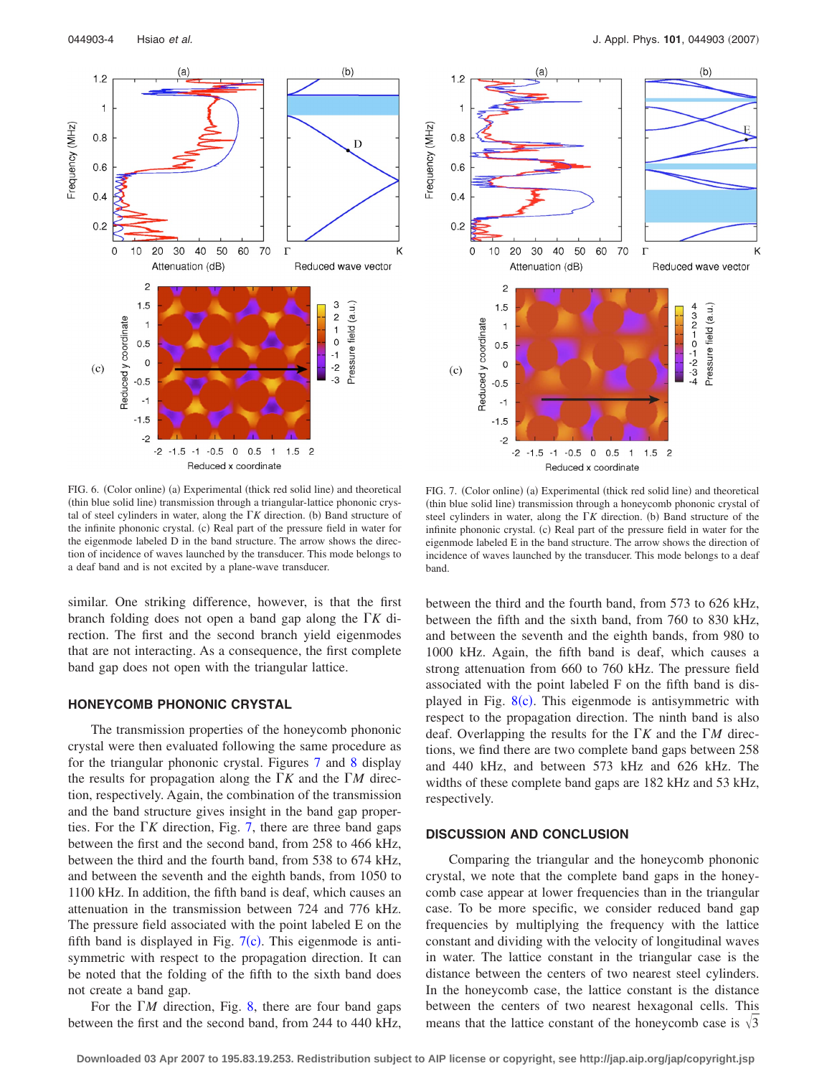<span id="page-3-0"></span>

044903-4 Hsiao *et al.* J. Appl. Phys. **101**, 044903 2007-

<span id="page-3-1"></span>

FIG. 6. (Color online) (a) Experimental (thick red solid line) and theoretical (thin blue solid line) transmission through a triangular-lattice phononic crystal of steel cylinders in water, along the  $\Gamma K$  direction. (b) Band structure of the infinite phononic crystal. (c) Real part of the pressure field in water for the eigenmode labeled D in the band structure. The arrow shows the direction of incidence of waves launched by the transducer. This mode belongs to a deaf band and is not excited by a plane-wave transducer.

similar. One striking difference, however, is that the first branch folding does not open a band gap along the  $\Gamma K$  direction. The first and the second branch yield eigenmodes that are not interacting. As a consequence, the first complete band gap does not open with the triangular lattice.

# **HONEYCOMB PHONONIC CRYSTAL**

The transmission properties of the honeycomb phononic crystal were then evaluated following the same procedure as for the triangular phononic crystal. Figures [7](#page-3-1) and [8](#page-4-12) display the results for propagation along the  $\Gamma K$  and the  $\Gamma M$  direction, respectively. Again, the combination of the transmission and the band structure gives insight in the band gap properties. For the  $\Gamma K$  direction, Fig. [7,](#page-3-1) there are three band gaps between the first and the second band, from 258 to 466 kHz, between the third and the fourth band, from 538 to 674 kHz, and between the seventh and the eighth bands, from 1050 to 1100 kHz. In addition, the fifth band is deaf, which causes an attenuation in the transmission between 724 and 776 kHz. The pressure field associated with the point labeled E on the fifth band is displayed in Fig.  $7(c)$  $7(c)$ . This eigenmode is antisymmetric with respect to the propagation direction. It can be noted that the folding of the fifth to the sixth band does not create a band gap.

For the  $\Gamma M$  direction, Fig. [8,](#page-4-12) there are four band gaps between the first and the second band, from 244 to 440 kHz,

FIG. 7. (Color online) (a) Experimental (thick red solid line) and theoretical (thin blue solid line) transmission through a honeycomb phononic crystal of steel cylinders in water, along the  $\Gamma K$  direction. (b) Band structure of the infinite phononic crystal. (c) Real part of the pressure field in water for the eigenmode labeled E in the band structure. The arrow shows the direction of incidence of waves launched by the transducer. This mode belongs to a deaf band.

between the third and the fourth band, from 573 to 626 kHz, between the fifth and the sixth band, from 760 to 830 kHz, and between the seventh and the eighth bands, from 980 to 1000 kHz. Again, the fifth band is deaf, which causes a strong attenuation from 660 to 760 kHz. The pressure field associated with the point labeled F on the fifth band is displayed in Fig.  $8(c)$  $8(c)$ . This eigenmode is antisymmetric with respect to the propagation direction. The ninth band is also deaf. Overlapping the results for the  $\Gamma K$  and the  $\Gamma M$  directions, we find there are two complete band gaps between 258 and 440 kHz, and between 573 kHz and 626 kHz. The widths of these complete band gaps are 182 kHz and 53 kHz, respectively.

## **DISCUSSION AND CONCLUSION**

Comparing the triangular and the honeycomb phononic crystal, we note that the complete band gaps in the honeycomb case appear at lower frequencies than in the triangular case. To be more specific, we consider reduced band gap frequencies by multiplying the frequency with the lattice constant and dividing with the velocity of longitudinal waves in water. The lattice constant in the triangular case is the distance between the centers of two nearest steel cylinders. In the honeycomb case, the lattice constant is the distance between the centers of two nearest hexagonal cells. This means that the lattice constant of the honeycomb case is  $\sqrt{3}$